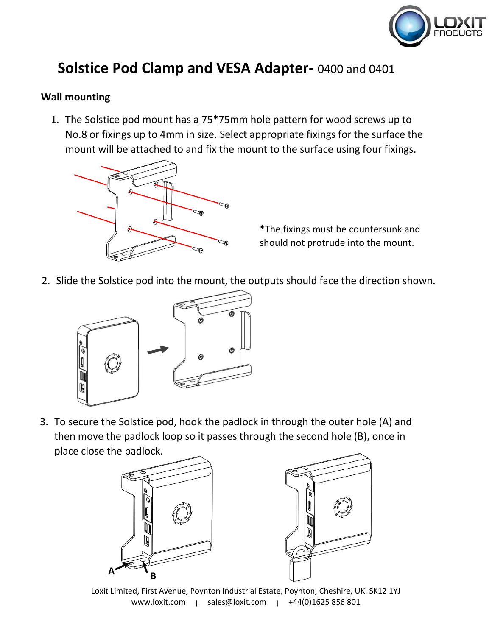

## **Solstice Pod Clamp and VESA Adapter-** 0400 and 0401

## **Wall mounting**

1. The Solstice pod mount has a 75\*75mm hole pattern for wood screws up to No.8 or fixings up to 4mm in size. Select appropriate fixings for the surface the mount will be attached to and fix the mount to the surface using four fixings.



\*The fixings must be countersunk and should not protrude into the mount.

2. Slide the Solstice pod into the mount, the outputs should face the direction shown.



3. To secure the Solstice pod, hook the padlock in through the outer hole (A) and then move the padlock loop so it passes through the second hole (B), once in place close the padlock.





Loxit Limited, First Avenue, Poynton Industrial Estate, Poynton, Cheshire, UK. SK12 1YJ www.loxit.com | sales@loxit.com | +44(0)1625 856 801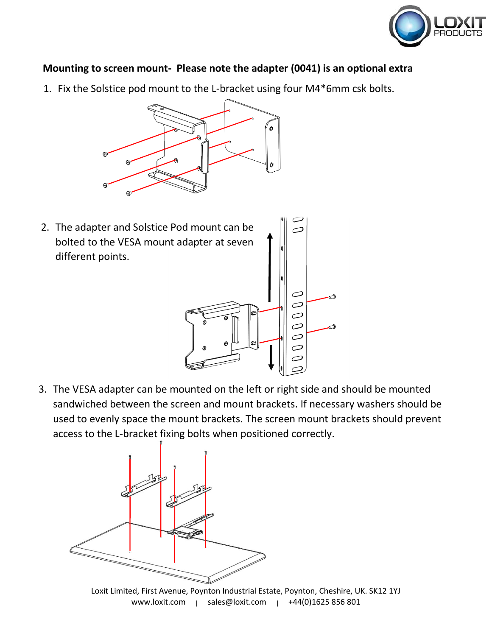

## **Mounting to screen mount- Please note the adapter (0041) is an optional extra**

1. Fix the Solstice pod mount to the L-bracket using four M4\*6mm csk bolts.



2. The adapter and Solstice Pod mount can be bolted to the VESA mount adapter at seven different points.

3. The VESA adapter can be mounted on the left or right side and should be mounted sandwiched between the screen and mount brackets. If necessary washers should be used to evenly space the mount brackets. The screen mount brackets should prevent access to the L-bracket fixing bolts when positioned correctly.

⊂  $\varnothing$  $\varnothing$  $\varnothing$  $\varnothing$ 



Loxit Limited, First Avenue, Poynton Industrial Estate, Poynton, Cheshire, UK. SK12 1YJ www.loxit.com | sales@loxit.com | +44(0)1625 856 801